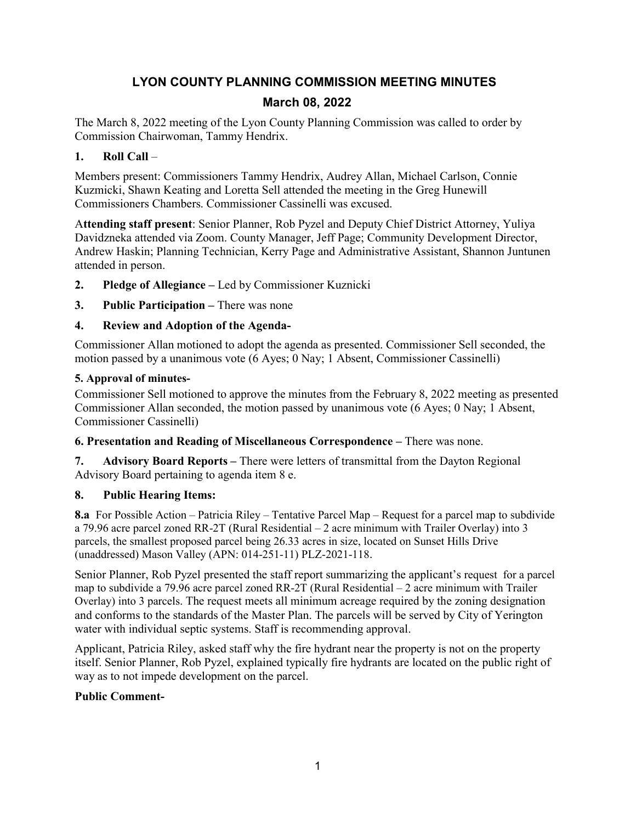# **LYON COUNTY PLANNING COMMISSION MEETING MINUTES March 08, 2022**

The March 8, 2022 meeting of the Lyon County Planning Commission was called to order by Commission Chairwoman, Tammy Hendrix.

### **1. Roll Call** –

Members present: Commissioners Tammy Hendrix, Audrey Allan, Michael Carlson, Connie Kuzmicki, Shawn Keating and Loretta Sell attended the meeting in the Greg Hunewill Commissioners Chambers. Commissioner Cassinelli was excused.

A**ttending staff present**: Senior Planner, Rob Pyzel and Deputy Chief District Attorney, Yuliya Davidzneka attended via Zoom. County Manager, Jeff Page; Community Development Director, Andrew Haskin; Planning Technician, Kerry Page and Administrative Assistant, Shannon Juntunen attended in person.

- **2. Pledge of Allegiance –** Led by Commissioner Kuznicki
- **3. Public Participation –** There was none

# **4. Review and Adoption of the Agenda-**

Commissioner Allan motioned to adopt the agenda as presented. Commissioner Sell seconded, the motion passed by a unanimous vote (6 Ayes; 0 Nay; 1 Absent, Commissioner Cassinelli)

# **5. Approval of minutes-**

Commissioner Sell motioned to approve the minutes from the February 8, 2022 meeting as presented Commissioner Allan seconded, the motion passed by unanimous vote (6 Ayes; 0 Nay; 1 Absent, Commissioner Cassinelli)

**6. Presentation and Reading of Miscellaneous Correspondence –** There was none.

**7. Advisory Board Reports –** There were letters of transmittal from the Dayton Regional Advisory Board pertaining to agenda item 8 e.

# **8. Public Hearing Items:**

**8.a** For Possible Action – Patricia Riley – Tentative Parcel Map – Request for a parcel map to subdivide a 79.96 acre parcel zoned RR-2T (Rural Residential – 2 acre minimum with Trailer Overlay) into 3 parcels, the smallest proposed parcel being 26.33 acres in size, located on Sunset Hills Drive (unaddressed) Mason Valley (APN: 014-251-11) PLZ-2021-118.

Senior Planner, Rob Pyzel presented the staff report summarizing the applicant's request for a parcel map to subdivide a 79.96 acre parcel zoned RR-2T (Rural Residential – 2 acre minimum with Trailer Overlay) into 3 parcels. The request meets all minimum acreage required by the zoning designation and conforms to the standards of the Master Plan. The parcels will be served by City of Yerington water with individual septic systems. Staff is recommending approval.

Applicant, Patricia Riley, asked staff why the fire hydrant near the property is not on the property itself. Senior Planner, Rob Pyzel, explained typically fire hydrants are located on the public right of way as to not impede development on the parcel.

# **Public Comment-**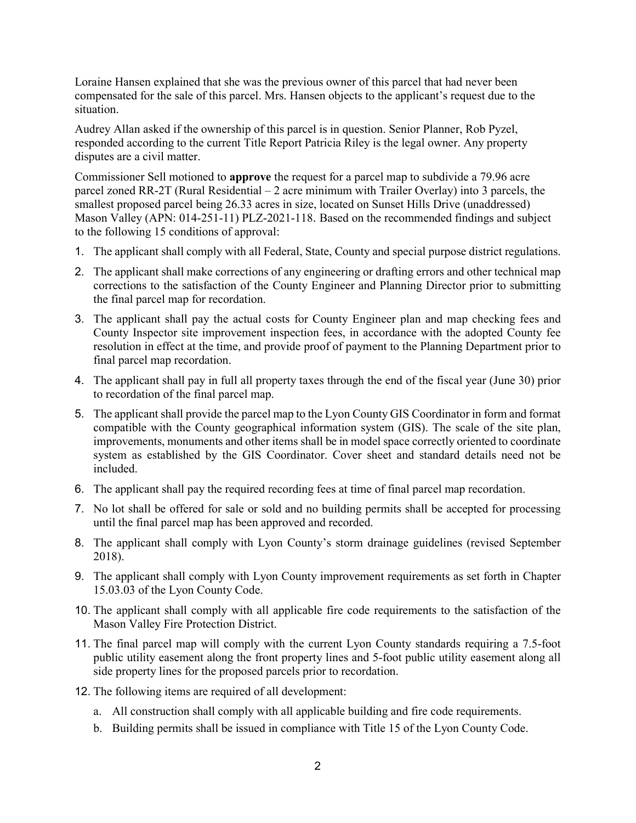Loraine Hansen explained that she was the previous owner of this parcel that had never been compensated for the sale of this parcel. Mrs. Hansen objects to the applicant's request due to the situation.

Audrey Allan asked if the ownership of this parcel is in question. Senior Planner, Rob Pyzel, responded according to the current Title Report Patricia Riley is the legal owner. Any property disputes are a civil matter.

Commissioner Sell motioned to **approve** the request for a parcel map to subdivide a 79.96 acre parcel zoned RR-2T (Rural Residential – 2 acre minimum with Trailer Overlay) into 3 parcels, the smallest proposed parcel being 26.33 acres in size, located on Sunset Hills Drive (unaddressed) Mason Valley (APN: 014-251-11) PLZ-2021-118. Based on the recommended findings and subject to the following 15 conditions of approval:

- 1. The applicant shall comply with all Federal, State, County and special purpose district regulations.
- 2. The applicant shall make corrections of any engineering or drafting errors and other technical map corrections to the satisfaction of the County Engineer and Planning Director prior to submitting the final parcel map for recordation.
- 3. The applicant shall pay the actual costs for County Engineer plan and map checking fees and County Inspector site improvement inspection fees, in accordance with the adopted County fee resolution in effect at the time, and provide proof of payment to the Planning Department prior to final parcel map recordation.
- 4. The applicant shall pay in full all property taxes through the end of the fiscal year (June 30) prior to recordation of the final parcel map.
- 5. The applicant shall provide the parcel map to the Lyon County GIS Coordinator in form and format compatible with the County geographical information system (GIS). The scale of the site plan, improvements, monuments and other items shall be in model space correctly oriented to coordinate system as established by the GIS Coordinator. Cover sheet and standard details need not be included.
- 6. The applicant shall pay the required recording fees at time of final parcel map recordation.
- 7. No lot shall be offered for sale or sold and no building permits shall be accepted for processing until the final parcel map has been approved and recorded.
- 8. The applicant shall comply with Lyon County's storm drainage guidelines (revised September 2018).
- 9. The applicant shall comply with Lyon County improvement requirements as set forth in Chapter 15.03.03 of the Lyon County Code.
- 10. The applicant shall comply with all applicable fire code requirements to the satisfaction of the Mason Valley Fire Protection District.
- 11. The final parcel map will comply with the current Lyon County standards requiring a 7.5-foot public utility easement along the front property lines and 5-foot public utility easement along all side property lines for the proposed parcels prior to recordation.
- 12. The following items are required of all development:
	- a. All construction shall comply with all applicable building and fire code requirements.
	- b. Building permits shall be issued in compliance with Title 15 of the Lyon County Code.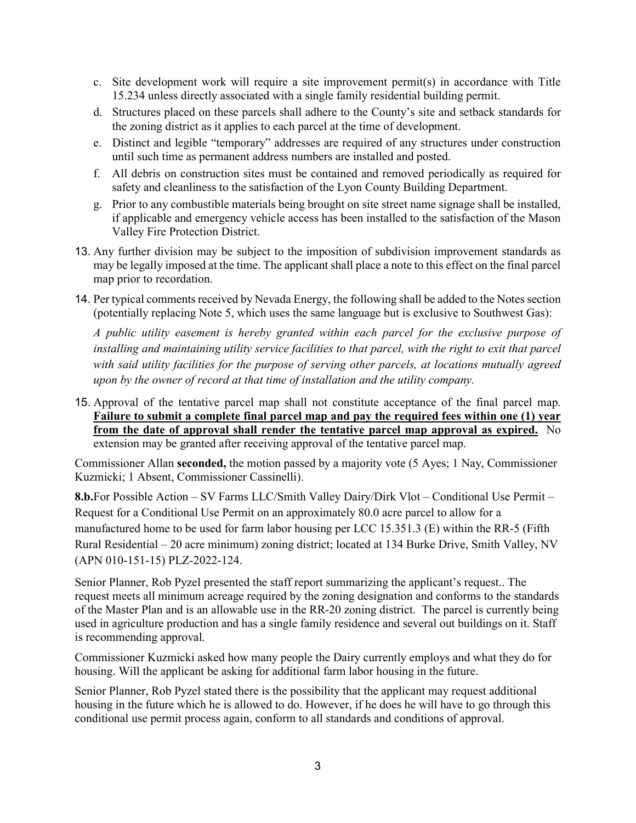- c. Site development work will require a site improvement permit(s) in accordance with Title 15.234 unless directly associated with a single family residential building permit.
- d. Structures placed on these parcels shall adhere to the County's site and setback standards for the zoning district as it applies to each parcel at the time of development.
- e. Distinct and legible "temporary" addresses are required of any structures under construction until such time as permanent address numbers are installed and posted.
- f. All debris on construction sites must be contained and removed periodically as required for safety and cleanliness to the satisfaction of the Lyon County Building Department.
- g. Prior to any combustible materials being brought on site street name signage shall be installed, if applicable and emergency vehicle access has been installed to the satisfaction of the Mason Valley Fire Protection District.
- 13. Any further division may be subject to the imposition of subdivision improvement standards as may be legally imposed at the time. The applicant shall place a note to this effect on the final parcel map prior to recordation.
- 14. Per typical comments received by Nevada Energy, the following shall be added to the Notes section (potentially replacing Note 5, which uses the same language but is exclusive to Southwest Gas):

*A public utility easement is hereby granted within each parcel for the exclusive purpose of installing and maintaining utility service facilities to that parcel, with the right to exit that parcel with said utility facilities for the purpose of serving other parcels, at locations mutually agreed upon by the owner of record at that time of installation and the utility company.*

15. Approval of the tentative parcel map shall not constitute acceptance of the final parcel map. **Failure to submit a complete final parcel map and pay the required fees within one (1) year from the date of approval shall render the tentative parcel map approval as expired.** No extension may be granted after receiving approval of the tentative parcel map.

Commissioner Allan **seconded,** the motion passed by a majority vote (5 Ayes; 1 Nay, Commissioner Kuzmicki; 1 Absent, Commissioner Cassinelli).

**8.b.**For Possible Action – SV Farms LLC/Smith Valley Dairy/Dirk Vlot – Conditional Use Permit – Request for a Conditional Use Permit on an approximately 80.0 acre parcel to allow for a manufactured home to be used for farm labor housing per LCC 15.351.3 (E) within the RR-5 (Fifth Rural Residential – 20 acre minimum) zoning district; located at 134 Burke Drive, Smith Valley, NV (APN 010-151-15) PLZ-2022-124.

Senior Planner, Rob Pyzel presented the staff report summarizing the applicant's request.. The request meets all minimum acreage required by the zoning designation and conforms to the standards of the Master Plan and is an allowable use in the RR-20 zoning district. The parcel is currently being used in agriculture production and has a single family residence and several out buildings on it. Staff is recommending approval.

Commissioner Kuzmicki asked how many people the Dairy currently employs and what they do for housing. Will the applicant be asking for additional farm labor housing in the future.

Senior Planner, Rob Pyzel stated there is the possibility that the applicant may request additional housing in the future which he is allowed to do. However, if he does he will have to go through this conditional use permit process again, conform to all standards and conditions of approval.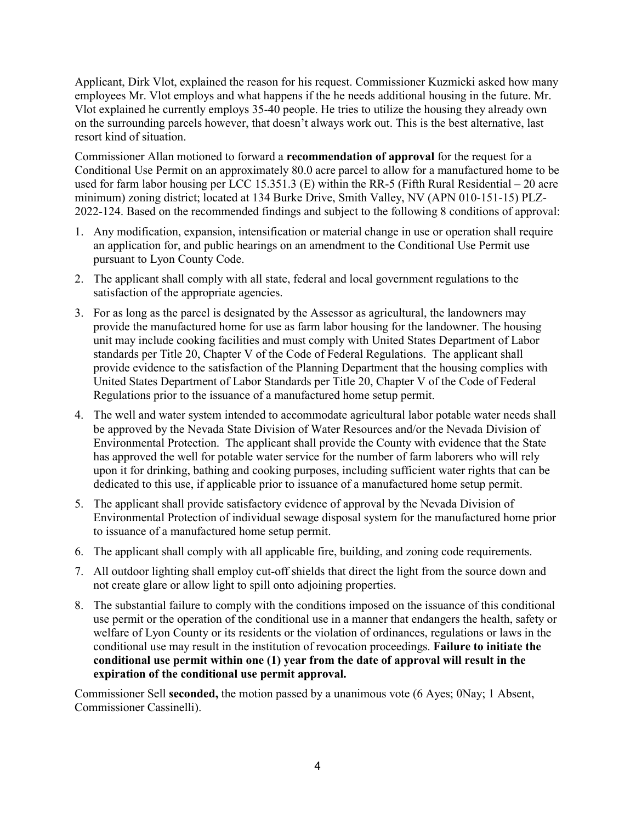Applicant, Dirk Vlot, explained the reason for his request. Commissioner Kuzmicki asked how many employees Mr. Vlot employs and what happens if the he needs additional housing in the future. Mr. Vlot explained he currently employs 35-40 people. He tries to utilize the housing they already own on the surrounding parcels however, that doesn't always work out. This is the best alternative, last resort kind of situation.

Commissioner Allan motioned to forward a **recommendation of approval** for the request for a Conditional Use Permit on an approximately 80.0 acre parcel to allow for a manufactured home to be used for farm labor housing per LCC 15.351.3 (E) within the RR-5 (Fifth Rural Residential – 20 acre minimum) zoning district; located at 134 Burke Drive, Smith Valley, NV (APN 010-151-15) PLZ-2022-124. Based on the recommended findings and subject to the following 8 conditions of approval:

- 1. Any modification, expansion, intensification or material change in use or operation shall require an application for, and public hearings on an amendment to the Conditional Use Permit use pursuant to Lyon County Code.
- 2. The applicant shall comply with all state, federal and local government regulations to the satisfaction of the appropriate agencies.
- 3. For as long as the parcel is designated by the Assessor as agricultural, the landowners may provide the manufactured home for use as farm labor housing for the landowner. The housing unit may include cooking facilities and must comply with United States Department of Labor standards per Title 20, Chapter V of the Code of Federal Regulations. The applicant shall provide evidence to the satisfaction of the Planning Department that the housing complies with United States Department of Labor Standards per Title 20, Chapter V of the Code of Federal Regulations prior to the issuance of a manufactured home setup permit.
- 4. The well and water system intended to accommodate agricultural labor potable water needs shall be approved by the Nevada State Division of Water Resources and/or the Nevada Division of Environmental Protection. The applicant shall provide the County with evidence that the State has approved the well for potable water service for the number of farm laborers who will rely upon it for drinking, bathing and cooking purposes, including sufficient water rights that can be dedicated to this use, if applicable prior to issuance of a manufactured home setup permit.
- 5. The applicant shall provide satisfactory evidence of approval by the Nevada Division of Environmental Protection of individual sewage disposal system for the manufactured home prior to issuance of a manufactured home setup permit.
- 6. The applicant shall comply with all applicable fire, building, and zoning code requirements.
- 7. All outdoor lighting shall employ cut-off shields that direct the light from the source down and not create glare or allow light to spill onto adjoining properties.
- 8. The substantial failure to comply with the conditions imposed on the issuance of this conditional use permit or the operation of the conditional use in a manner that endangers the health, safety or welfare of Lyon County or its residents or the violation of ordinances, regulations or laws in the conditional use may result in the institution of revocation proceedings. **Failure to initiate the conditional use permit within one (1) year from the date of approval will result in the expiration of the conditional use permit approval.**

Commissioner Sell **seconded,** the motion passed by a unanimous vote (6 Ayes; 0Nay; 1 Absent, Commissioner Cassinelli).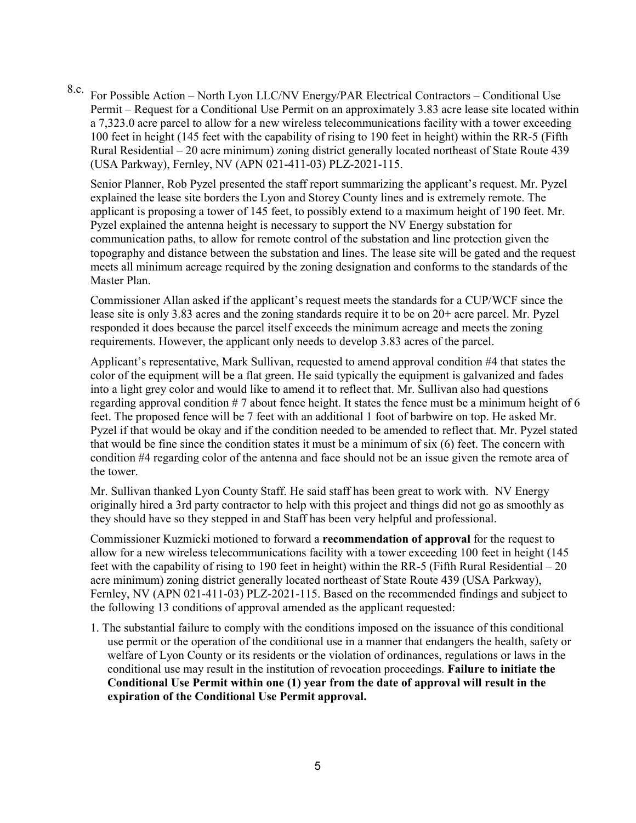8.c. For Possible Action – North Lyon LLC/NV Energy/PAR Electrical Contractors – Conditional Use Permit – Request for a Conditional Use Permit on an approximately 3.83 acre lease site located within a 7,323.0 acre parcel to allow for a new wireless telecommunications facility with a tower exceeding 100 feet in height (145 feet with the capability of rising to 190 feet in height) within the RR-5 (Fifth Rural Residential – 20 acre minimum) zoning district generally located northeast of State Route 439 (USA Parkway), Fernley, NV (APN 021-411-03) PLZ-2021-115.

Senior Planner, Rob Pyzel presented the staff report summarizing the applicant's request. Mr. Pyzel explained the lease site borders the Lyon and Storey County lines and is extremely remote. The applicant is proposing a tower of 145 feet, to possibly extend to a maximum height of 190 feet. Mr. Pyzel explained the antenna height is necessary to support the NV Energy substation for communication paths, to allow for remote control of the substation and line protection given the topography and distance between the substation and lines. The lease site will be gated and the request meets all minimum acreage required by the zoning designation and conforms to the standards of the Master Plan.

Commissioner Allan asked if the applicant's request meets the standards for a CUP/WCF since the lease site is only 3.83 acres and the zoning standards require it to be on 20+ acre parcel. Mr. Pyzel responded it does because the parcel itself exceeds the minimum acreage and meets the zoning requirements. However, the applicant only needs to develop 3.83 acres of the parcel.

Applicant's representative, Mark Sullivan, requested to amend approval condition #4 that states the color of the equipment will be a flat green. He said typically the equipment is galvanized and fades into a light grey color and would like to amend it to reflect that. Mr. Sullivan also had questions regarding approval condition # 7 about fence height. It states the fence must be a minimum height of 6 feet. The proposed fence will be 7 feet with an additional 1 foot of barbwire on top. He asked Mr. Pyzel if that would be okay and if the condition needed to be amended to reflect that. Mr. Pyzel stated that would be fine since the condition states it must be a minimum of six (6) feet. The concern with condition #4 regarding color of the antenna and face should not be an issue given the remote area of the tower.

Mr. Sullivan thanked Lyon County Staff. He said staff has been great to work with. NV Energy originally hired a 3rd party contractor to help with this project and things did not go as smoothly as they should have so they stepped in and Staff has been very helpful and professional.

Commissioner Kuzmicki motioned to forward a **recommendation of approval** for the request to allow for a new wireless telecommunications facility with a tower exceeding 100 feet in height (145 feet with the capability of rising to 190 feet in height) within the RR-5 (Fifth Rural Residential – 20 acre minimum) zoning district generally located northeast of State Route 439 (USA Parkway), Fernley, NV (APN 021-411-03) PLZ-2021-115. Based on the recommended findings and subject to the following 13 conditions of approval amended as the applicant requested:

1. The substantial failure to comply with the conditions imposed on the issuance of this conditional use permit or the operation of the conditional use in a manner that endangers the health, safety or welfare of Lyon County or its residents or the violation of ordinances, regulations or laws in the conditional use may result in the institution of revocation proceedings. **Failure to initiate the Conditional Use Permit within one (1) year from the date of approval will result in the expiration of the Conditional Use Permit approval.**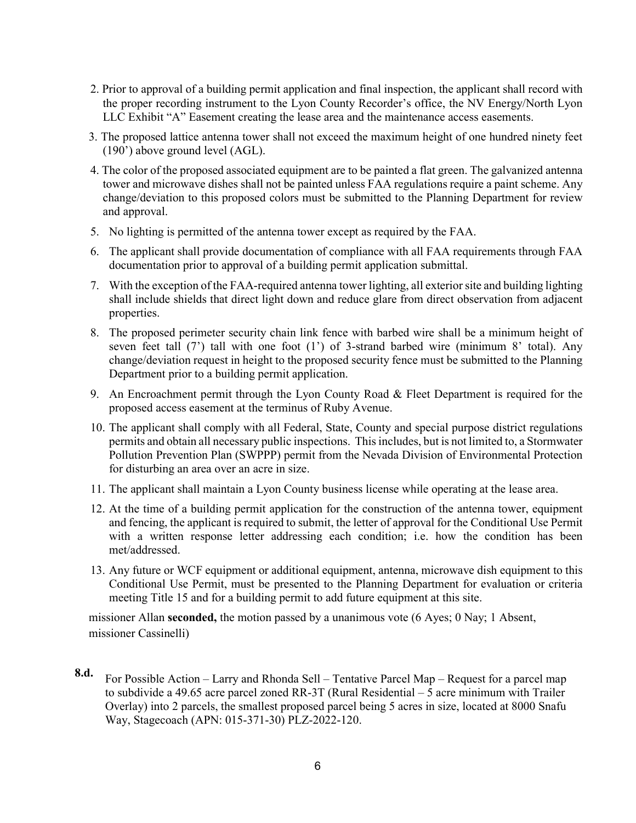- 2. Prior to approval of a building permit application and final inspection, the applicant shall record with the proper recording instrument to the Lyon County Recorder's office, the NV Energy/North Lyon LLC Exhibit "A" Easement creating the lease area and the maintenance access easements.
- 3. The proposed lattice antenna tower shall not exceed the maximum height of one hundred ninety feet (190') above ground level (AGL).
- 4. The color of the proposed associated equipment are to be painted a flat green. The galvanized antenna tower and microwave dishes shall not be painted unless FAA regulations require a paint scheme. Any change/deviation to this proposed colors must be submitted to the Planning Department for review and approval.
- 5. No lighting is permitted of the antenna tower except as required by the FAA.
- 6. The applicant shall provide documentation of compliance with all FAA requirements through FAA documentation prior to approval of a building permit application submittal.
- 7. With the exception of the FAA-required antenna tower lighting, all exterior site and building lighting shall include shields that direct light down and reduce glare from direct observation from adjacent properties.
- 8. The proposed perimeter security chain link fence with barbed wire shall be a minimum height of seven feet tall (7') tall with one foot (1') of 3-strand barbed wire (minimum 8' total). Any change/deviation request in height to the proposed security fence must be submitted to the Planning Department prior to a building permit application.
- 9. An Encroachment permit through the Lyon County Road  $\&$  Fleet Department is required for the proposed access easement at the terminus of Ruby Avenue.
- 10. The applicant shall comply with all Federal, State, County and special purpose district regulations permits and obtain all necessary public inspections. This includes, but is not limited to, a Stormwater Pollution Prevention Plan (SWPPP) permit from the Nevada Division of Environmental Protection for disturbing an area over an acre in size.
- 11. The applicant shall maintain a Lyon County business license while operating at the lease area.
- 12. At the time of a building permit application for the construction of the antenna tower, equipment and fencing, the applicant is required to submit, the letter of approval for the Conditional Use Permit with a written response letter addressing each condition; i.e. how the condition has been met/addressed.
- 13. Any future or WCF equipment or additional equipment, antenna, microwave dish equipment to this Conditional Use Permit, must be presented to the Planning Department for evaluation or criteria meeting Title 15 and for a building permit to add future equipment at this site.

missioner Allan **seconded,** the motion passed by a unanimous vote (6 Ayes; 0 Nay; 1 Absent, missioner Cassinelli)

**8.d.** For Possible Action – Larry and Rhonda Sell – Tentative Parcel Map – Request for a parcel map to subdivide a 49.65 acre parcel zoned RR-3T (Rural Residential – 5 acre minimum with Trailer Overlay) into 2 parcels, the smallest proposed parcel being 5 acres in size, located at 8000 Snafu Way, Stagecoach (APN: 015-371-30) PLZ-2022-120.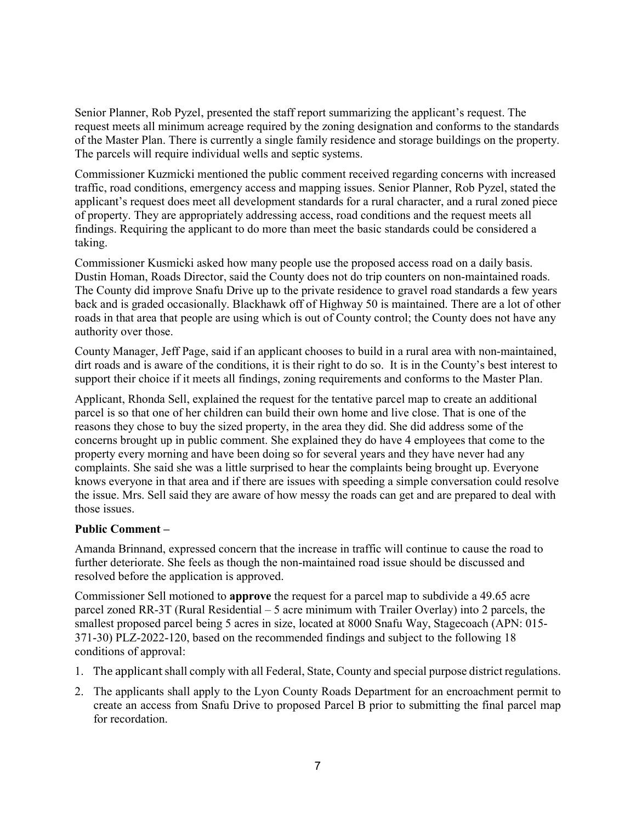Senior Planner, Rob Pyzel, presented the staff report summarizing the applicant's request. The request meets all minimum acreage required by the zoning designation and conforms to the standards of the Master Plan. There is currently a single family residence and storage buildings on the property. The parcels will require individual wells and septic systems.

Commissioner Kuzmicki mentioned the public comment received regarding concerns with increased traffic, road conditions, emergency access and mapping issues. Senior Planner, Rob Pyzel, stated the applicant's request does meet all development standards for a rural character, and a rural zoned piece of property. They are appropriately addressing access, road conditions and the request meets all findings. Requiring the applicant to do more than meet the basic standards could be considered a taking.

Commissioner Kusmicki asked how many people use the proposed access road on a daily basis. Dustin Homan, Roads Director, said the County does not do trip counters on non-maintained roads. The County did improve Snafu Drive up to the private residence to gravel road standards a few years back and is graded occasionally. Blackhawk off of Highway 50 is maintained. There are a lot of other roads in that area that people are using which is out of County control; the County does not have any authority over those.

County Manager, Jeff Page, said if an applicant chooses to build in a rural area with non-maintained, dirt roads and is aware of the conditions, it is their right to do so. It is in the County's best interest to support their choice if it meets all findings, zoning requirements and conforms to the Master Plan.

Applicant, Rhonda Sell, explained the request for the tentative parcel map to create an additional parcel is so that one of her children can build their own home and live close. That is one of the reasons they chose to buy the sized property, in the area they did. She did address some of the concerns brought up in public comment. She explained they do have 4 employees that come to the property every morning and have been doing so for several years and they have never had any complaints. She said she was a little surprised to hear the complaints being brought up. Everyone knows everyone in that area and if there are issues with speeding a simple conversation could resolve the issue. Mrs. Sell said they are aware of how messy the roads can get and are prepared to deal with those issues.

#### **Public Comment –**

Amanda Brinnand, expressed concern that the increase in traffic will continue to cause the road to further deteriorate. She feels as though the non-maintained road issue should be discussed and resolved before the application is approved.

Commissioner Sell motioned to **approve** the request for a parcel map to subdivide a 49.65 acre parcel zoned RR-3T (Rural Residential – 5 acre minimum with Trailer Overlay) into 2 parcels, the smallest proposed parcel being 5 acres in size, located at 8000 Snafu Way, Stagecoach (APN: 015- 371-30) PLZ-2022-120, based on the recommended findings and subject to the following 18 conditions of approval:

- 1. The applicant shall comply with all Federal, State, County and special purpose district regulations.
- 2. The applicants shall apply to the Lyon County Roads Department for an encroachment permit to create an access from Snafu Drive to proposed Parcel B prior to submitting the final parcel map for recordation.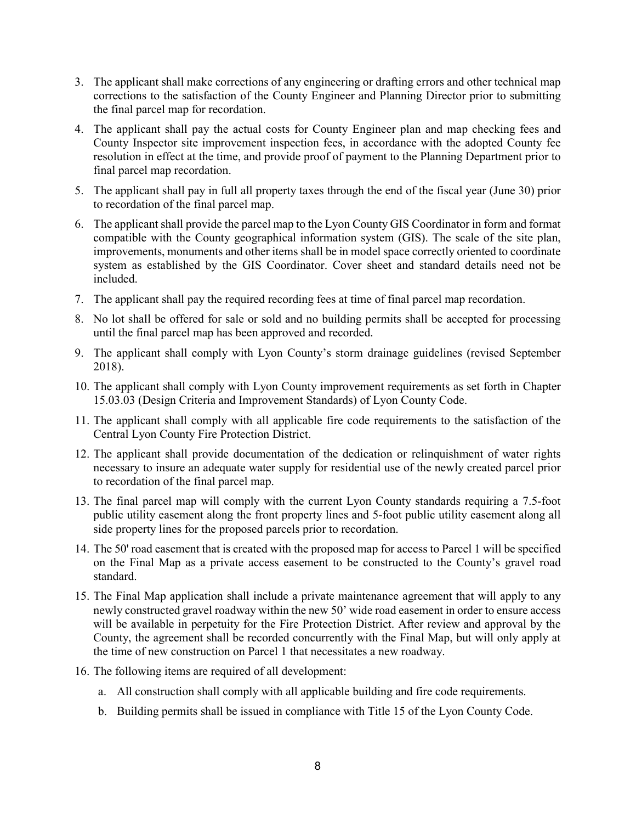- 3. The applicant shall make corrections of any engineering or drafting errors and other technical map corrections to the satisfaction of the County Engineer and Planning Director prior to submitting the final parcel map for recordation.
- 4. The applicant shall pay the actual costs for County Engineer plan and map checking fees and County Inspector site improvement inspection fees, in accordance with the adopted County fee resolution in effect at the time, and provide proof of payment to the Planning Department prior to final parcel map recordation.
- 5. The applicant shall pay in full all property taxes through the end of the fiscal year (June 30) prior to recordation of the final parcel map.
- 6. The applicant shall provide the parcel map to the Lyon County GIS Coordinator in form and format compatible with the County geographical information system (GIS). The scale of the site plan, improvements, monuments and other items shall be in model space correctly oriented to coordinate system as established by the GIS Coordinator. Cover sheet and standard details need not be included.
- 7. The applicant shall pay the required recording fees at time of final parcel map recordation.
- 8. No lot shall be offered for sale or sold and no building permits shall be accepted for processing until the final parcel map has been approved and recorded.
- 9. The applicant shall comply with Lyon County's storm drainage guidelines (revised September 2018).
- 10. The applicant shall comply with Lyon County improvement requirements as set forth in Chapter 15.03.03 (Design Criteria and Improvement Standards) of Lyon County Code.
- 11. The applicant shall comply with all applicable fire code requirements to the satisfaction of the Central Lyon County Fire Protection District.
- 12. The applicant shall provide documentation of the dedication or relinquishment of water rights necessary to insure an adequate water supply for residential use of the newly created parcel prior to recordation of the final parcel map.
- 13. The final parcel map will comply with the current Lyon County standards requiring a 7.5-foot public utility easement along the front property lines and 5-foot public utility easement along all side property lines for the proposed parcels prior to recordation.
- 14. The 50' road easement that is created with the proposed map for access to Parcel 1 will be specified on the Final Map as a private access easement to be constructed to the County's gravel road standard.
- 15. The Final Map application shall include a private maintenance agreement that will apply to any newly constructed gravel roadway within the new 50' wide road easement in order to ensure access will be available in perpetuity for the Fire Protection District. After review and approval by the County, the agreement shall be recorded concurrently with the Final Map, but will only apply at the time of new construction on Parcel 1 that necessitates a new roadway.
- 16. The following items are required of all development:
	- a. All construction shall comply with all applicable building and fire code requirements.
	- b. Building permits shall be issued in compliance with Title 15 of the Lyon County Code.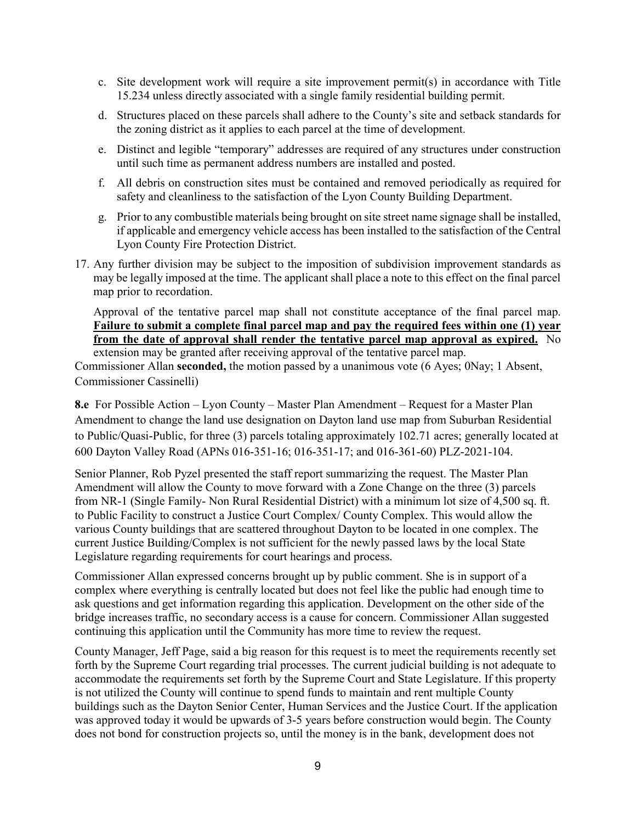- c. Site development work will require a site improvement permit(s) in accordance with Title 15.234 unless directly associated with a single family residential building permit.
- d. Structures placed on these parcels shall adhere to the County's site and setback standards for the zoning district as it applies to each parcel at the time of development.
- e. Distinct and legible "temporary" addresses are required of any structures under construction until such time as permanent address numbers are installed and posted.
- f. All debris on construction sites must be contained and removed periodically as required for safety and cleanliness to the satisfaction of the Lyon County Building Department.
- g. Prior to any combustible materials being brought on site street name signage shall be installed, if applicable and emergency vehicle access has been installed to the satisfaction of the Central Lyon County Fire Protection District.
- 17. Any further division may be subject to the imposition of subdivision improvement standards as may be legally imposed at the time. The applicant shall place a note to this effect on the final parcel map prior to recordation.

Approval of the tentative parcel map shall not constitute acceptance of the final parcel map. **Failure to submit a complete final parcel map and pay the required fees within one (1) year from the date of approval shall render the tentative parcel map approval as expired.** No extension may be granted after receiving approval of the tentative parcel map.

Commissioner Allan **seconded,** the motion passed by a unanimous vote (6 Ayes; 0Nay; 1 Absent, Commissioner Cassinelli)

**8.e** For Possible Action – Lyon County – Master Plan Amendment – Request for a Master Plan Amendment to change the land use designation on Dayton land use map from Suburban Residential to Public/Quasi-Public, for three (3) parcels totaling approximately 102.71 acres; generally located at 600 Dayton Valley Road (APNs 016-351-16; 016-351-17; and 016-361-60) PLZ-2021-104.

Senior Planner, Rob Pyzel presented the staff report summarizing the request. The Master Plan Amendment will allow the County to move forward with a Zone Change on the three (3) parcels from NR-1 (Single Family- Non Rural Residential District) with a minimum lot size of 4,500 sq. ft. to Public Facility to construct a Justice Court Complex/ County Complex. This would allow the various County buildings that are scattered throughout Dayton to be located in one complex. The current Justice Building/Complex is not sufficient for the newly passed laws by the local State Legislature regarding requirements for court hearings and process.

Commissioner Allan expressed concerns brought up by public comment. She is in support of a complex where everything is centrally located but does not feel like the public had enough time to ask questions and get information regarding this application. Development on the other side of the bridge increases traffic, no secondary access is a cause for concern. Commissioner Allan suggested continuing this application until the Community has more time to review the request.

County Manager, Jeff Page, said a big reason for this request is to meet the requirements recently set forth by the Supreme Court regarding trial processes. The current judicial building is not adequate to accommodate the requirements set forth by the Supreme Court and State Legislature. If this property is not utilized the County will continue to spend funds to maintain and rent multiple County buildings such as the Dayton Senior Center, Human Services and the Justice Court. If the application was approved today it would be upwards of 3-5 years before construction would begin. The County does not bond for construction projects so, until the money is in the bank, development does not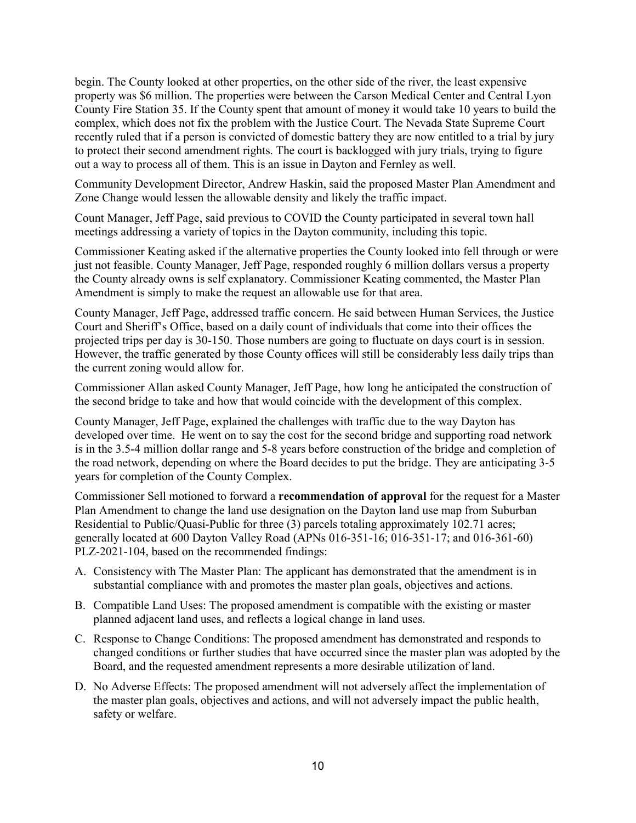begin. The County looked at other properties, on the other side of the river, the least expensive property was \$6 million. The properties were between the Carson Medical Center and Central Lyon County Fire Station 35. If the County spent that amount of money it would take 10 years to build the complex, which does not fix the problem with the Justice Court. The Nevada State Supreme Court recently ruled that if a person is convicted of domestic battery they are now entitled to a trial by jury to protect their second amendment rights. The court is backlogged with jury trials, trying to figure out a way to process all of them. This is an issue in Dayton and Fernley as well.

Community Development Director, Andrew Haskin, said the proposed Master Plan Amendment and Zone Change would lessen the allowable density and likely the traffic impact.

Count Manager, Jeff Page, said previous to COVID the County participated in several town hall meetings addressing a variety of topics in the Dayton community, including this topic.

Commissioner Keating asked if the alternative properties the County looked into fell through or were just not feasible. County Manager, Jeff Page, responded roughly 6 million dollars versus a property the County already owns is self explanatory. Commissioner Keating commented, the Master Plan Amendment is simply to make the request an allowable use for that area.

County Manager, Jeff Page, addressed traffic concern. He said between Human Services, the Justice Court and Sheriff's Office, based on a daily count of individuals that come into their offices the projected trips per day is 30-150. Those numbers are going to fluctuate on days court is in session. However, the traffic generated by those County offices will still be considerably less daily trips than the current zoning would allow for.

Commissioner Allan asked County Manager, Jeff Page, how long he anticipated the construction of the second bridge to take and how that would coincide with the development of this complex.

County Manager, Jeff Page, explained the challenges with traffic due to the way Dayton has developed over time. He went on to say the cost for the second bridge and supporting road network is in the 3.5-4 million dollar range and 5-8 years before construction of the bridge and completion of the road network, depending on where the Board decides to put the bridge. They are anticipating 3-5 years for completion of the County Complex.

Commissioner Sell motioned to forward a **recommendation of approval** for the request for a Master Plan Amendment to change the land use designation on the Dayton land use map from Suburban Residential to Public/Quasi-Public for three (3) parcels totaling approximately 102.71 acres; generally located at 600 Dayton Valley Road (APNs 016-351-16; 016-351-17; and 016-361-60) PLZ-2021-104, based on the recommended findings:

- A. Consistency with The Master Plan: The applicant has demonstrated that the amendment is in substantial compliance with and promotes the master plan goals, objectives and actions.
- B. Compatible Land Uses: The proposed amendment is compatible with the existing or master planned adjacent land uses, and reflects a logical change in land uses.
- C. Response to Change Conditions: The proposed amendment has demonstrated and responds to changed conditions or further studies that have occurred since the master plan was adopted by the Board, and the requested amendment represents a more desirable utilization of land.
- D. No Adverse Effects: The proposed amendment will not adversely affect the implementation of the master plan goals, objectives and actions, and will not adversely impact the public health, safety or welfare.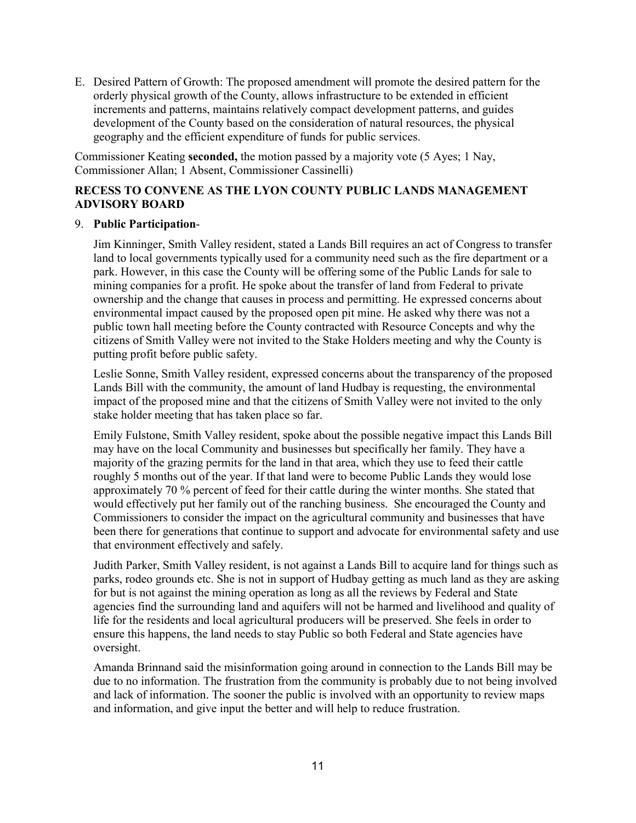E. Desired Pattern of Growth: The proposed amendment will promote the desired pattern for the orderly physical growth of the County, allows infrastructure to be extended in efficient increments and patterns, maintains relatively compact development patterns, and guides development of the County based on the consideration of natural resources, the physical geography and the efficient expenditure of funds for public services.

Commissioner Keating **seconded,** the motion passed by a majority vote (5 Ayes; 1 Nay, Commissioner Allan; 1 Absent, Commissioner Cassinelli)

### **RECESS TO CONVENE AS THE LYON COUNTY PUBLIC LANDS MANAGEMENT ADVISORY BOARD**

#### 9. **Public Participation**-

Jim Kinninger, Smith Valley resident, stated a Lands Bill requires an act of Congress to transfer land to local governments typically used for a community need such as the fire department or a park. However, in this case the County will be offering some of the Public Lands for sale to mining companies for a profit. He spoke about the transfer of land from Federal to private ownership and the change that causes in process and permitting. He expressed concerns about environmental impact caused by the proposed open pit mine. He asked why there was not a public town hall meeting before the County contracted with Resource Concepts and why the citizens of Smith Valley were not invited to the Stake Holders meeting and why the County is putting profit before public safety.

Leslie Sonne, Smith Valley resident, expressed concerns about the transparency of the proposed Lands Bill with the community, the amount of land Hudbay is requesting, the environmental impact of the proposed mine and that the citizens of Smith Valley were not invited to the only stake holder meeting that has taken place so far.

Emily Fulstone, Smith Valley resident, spoke about the possible negative impact this Lands Bill may have on the local Community and businesses but specifically her family. They have a majority of the grazing permits for the land in that area, which they use to feed their cattle roughly 5 months out of the year. If that land were to become Public Lands they would lose approximately 70 % percent of feed for their cattle during the winter months. She stated that would effectively put her family out of the ranching business. She encouraged the County and Commissioners to consider the impact on the agricultural community and businesses that have been there for generations that continue to support and advocate for environmental safety and use that environment effectively and safely.

Judith Parker, Smith Valley resident, is not against a Lands Bill to acquire land for things such as parks, rodeo grounds etc. She is not in support of Hudbay getting as much land as they are asking for but is not against the mining operation as long as all the reviews by Federal and State agencies find the surrounding land and aquifers will not be harmed and livelihood and quality of life for the residents and local agricultural producers will be preserved. She feels in order to ensure this happens, the land needs to stay Public so both Federal and State agencies have oversight.

Amanda Brinnand said the misinformation going around in connection to the Lands Bill may be due to no information. The frustration from the community is probably due to not being involved and lack of information. The sooner the public is involved with an opportunity to review maps and information, and give input the better and will help to reduce frustration.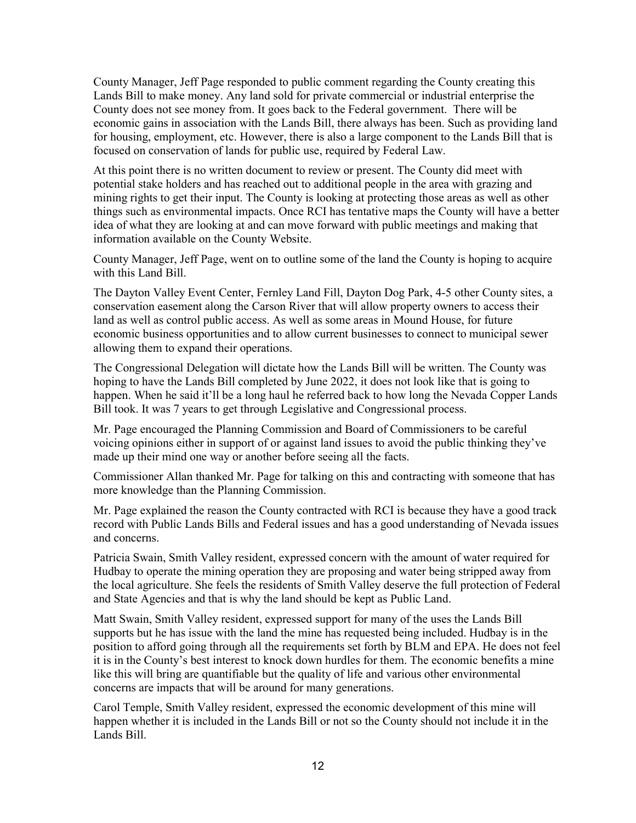County Manager, Jeff Page responded to public comment regarding the County creating this Lands Bill to make money. Any land sold for private commercial or industrial enterprise the County does not see money from. It goes back to the Federal government. There will be economic gains in association with the Lands Bill, there always has been. Such as providing land for housing, employment, etc. However, there is also a large component to the Lands Bill that is focused on conservation of lands for public use, required by Federal Law.

At this point there is no written document to review or present. The County did meet with potential stake holders and has reached out to additional people in the area with grazing and mining rights to get their input. The County is looking at protecting those areas as well as other things such as environmental impacts. Once RCI has tentative maps the County will have a better idea of what they are looking at and can move forward with public meetings and making that information available on the County Website.

County Manager, Jeff Page, went on to outline some of the land the County is hoping to acquire with this Land Bill.

The Dayton Valley Event Center, Fernley Land Fill, Dayton Dog Park, 4-5 other County sites, a conservation easement along the Carson River that will allow property owners to access their land as well as control public access. As well as some areas in Mound House, for future economic business opportunities and to allow current businesses to connect to municipal sewer allowing them to expand their operations.

The Congressional Delegation will dictate how the Lands Bill will be written. The County was hoping to have the Lands Bill completed by June 2022, it does not look like that is going to happen. When he said it'll be a long haul he referred back to how long the Nevada Copper Lands Bill took. It was 7 years to get through Legislative and Congressional process.

Mr. Page encouraged the Planning Commission and Board of Commissioners to be careful voicing opinions either in support of or against land issues to avoid the public thinking they've made up their mind one way or another before seeing all the facts.

Commissioner Allan thanked Mr. Page for talking on this and contracting with someone that has more knowledge than the Planning Commission.

Mr. Page explained the reason the County contracted with RCI is because they have a good track record with Public Lands Bills and Federal issues and has a good understanding of Nevada issues and concerns.

Patricia Swain, Smith Valley resident, expressed concern with the amount of water required for Hudbay to operate the mining operation they are proposing and water being stripped away from the local agriculture. She feels the residents of Smith Valley deserve the full protection of Federal and State Agencies and that is why the land should be kept as Public Land.

Matt Swain, Smith Valley resident, expressed support for many of the uses the Lands Bill supports but he has issue with the land the mine has requested being included. Hudbay is in the position to afford going through all the requirements set forth by BLM and EPA. He does not feel it is in the County's best interest to knock down hurdles for them. The economic benefits a mine like this will bring are quantifiable but the quality of life and various other environmental concerns are impacts that will be around for many generations.

Carol Temple, Smith Valley resident, expressed the economic development of this mine will happen whether it is included in the Lands Bill or not so the County should not include it in the Lands Bill.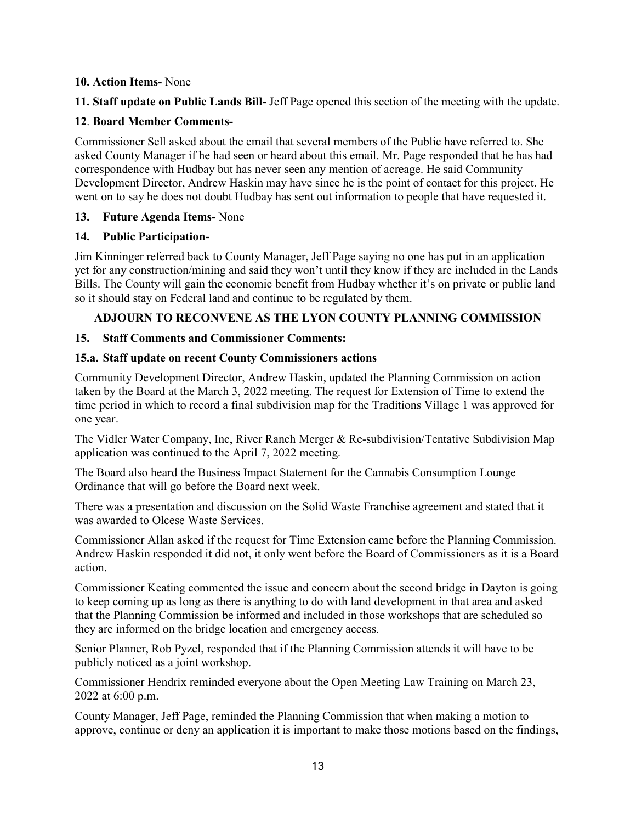#### **10. Action Items-** None

**11. Staff update on Public Lands Bill-** Jeff Page opened this section of the meeting with the update.

#### **12**. **Board Member Comments-**

Commissioner Sell asked about the email that several members of the Public have referred to. She asked County Manager if he had seen or heard about this email. Mr. Page responded that he has had correspondence with Hudbay but has never seen any mention of acreage. He said Community Development Director, Andrew Haskin may have since he is the point of contact for this project. He went on to say he does not doubt Hudbay has sent out information to people that have requested it.

### **13. Future Agenda Items-** None

#### **14. Public Participation-**

Jim Kinninger referred back to County Manager, Jeff Page saying no one has put in an application yet for any construction/mining and said they won't until they know if they are included in the Lands Bills. The County will gain the economic benefit from Hudbay whether it's on private or public land so it should stay on Federal land and continue to be regulated by them.

### **ADJOURN TO RECONVENE AS THE LYON COUNTY PLANNING COMMISSION**

### **15. Staff Comments and Commissioner Comments:**

#### **15.a. Staff update on recent County Commissioners actions**

Community Development Director, Andrew Haskin, updated the Planning Commission on action taken by the Board at the March 3, 2022 meeting. The request for Extension of Time to extend the time period in which to record a final subdivision map for the Traditions Village 1 was approved for one year.

The Vidler Water Company, Inc, River Ranch Merger & Re-subdivision/Tentative Subdivision Map application was continued to the April 7, 2022 meeting.

The Board also heard the Business Impact Statement for the Cannabis Consumption Lounge Ordinance that will go before the Board next week.

There was a presentation and discussion on the Solid Waste Franchise agreement and stated that it was awarded to Olcese Waste Services.

Commissioner Allan asked if the request for Time Extension came before the Planning Commission. Andrew Haskin responded it did not, it only went before the Board of Commissioners as it is a Board action.

Commissioner Keating commented the issue and concern about the second bridge in Dayton is going to keep coming up as long as there is anything to do with land development in that area and asked that the Planning Commission be informed and included in those workshops that are scheduled so they are informed on the bridge location and emergency access.

Senior Planner, Rob Pyzel, responded that if the Planning Commission attends it will have to be publicly noticed as a joint workshop.

Commissioner Hendrix reminded everyone about the Open Meeting Law Training on March 23, 2022 at 6:00 p.m.

County Manager, Jeff Page, reminded the Planning Commission that when making a motion to approve, continue or deny an application it is important to make those motions based on the findings,